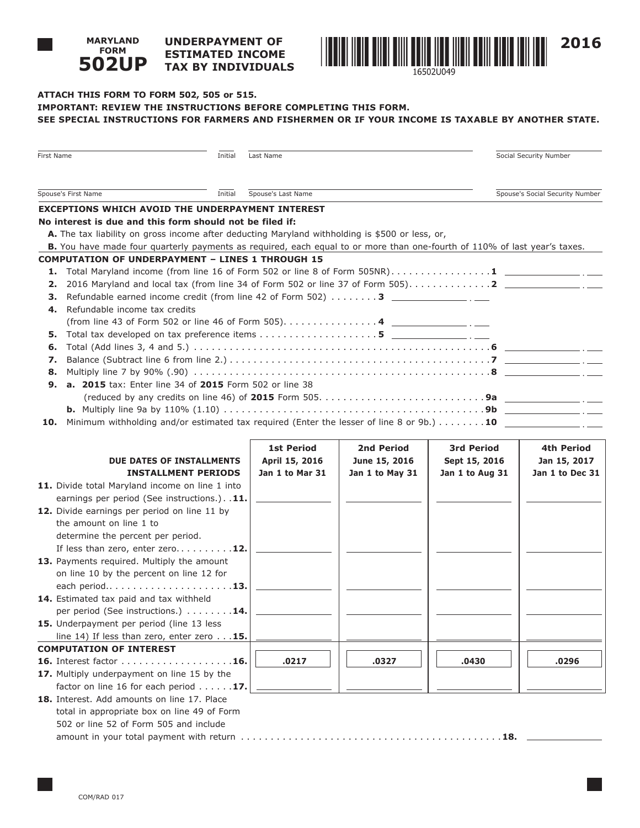#### **UNDERPAYMENT OF ESTIMATED INCOME TAX BY INDIVIDUALS 502UP**



## **ATTACH THIS FORM TO FORM 502, 505 or 515. IMPORTANT: REVIEW THE INSTRUCTIONS BEFORE COMPLETING THIS FORM. SEE SPECIAL INSTRUCTIONS FOR FARMERS AND FISHERMEN OR IF YOUR INCOME IS TAXABLE BY ANOTHER STATE.**

| Spouse's Social Security Number<br>Initial<br>Spouse's Last Name<br><b>EXCEPTIONS WHICH AVOID THE UNDERPAYMENT INTEREST</b><br>No interest is due and this form should not be filed if:<br>A. The tax liability on gross income after deducting Maryland withholding is \$500 or less, or,<br>B. You have made four quarterly payments as required, each equal to or more than one-fourth of 110% of last year's taxes.<br><b>COMPUTATION OF UNDERPAYMENT - LINES 1 THROUGH 15</b><br>1.<br>2.<br>Refundable earned income credit (from line 42 of Form 502) $\dots \dots$ 3<br>з.<br>Refundable income tax credits<br>4.<br>5.<br>6.<br>7.<br>8.<br>a. 2015 tax: Enter line 34 of 2015 Form 502 or line 38<br>9.<br>Minimum withholding and/or estimated tax required (Enter the lesser of line 8 or 9b.) $\dots \dots \dots$ 10<br>10.<br><b>1st Period</b><br>2nd Period<br><b>3rd Period</b><br>4th Period<br><b>DUE DATES OF INSTALLMENTS</b><br>April 15, 2016<br>June 15, 2016<br>Sept 15, 2016<br>Jan 15, 2017<br>Jan 1 to Mar 31<br>Jan 1 to May 31<br><b>INSTALLMENT PERIODS</b><br>Jan 1 to Aug 31<br>11. Divide total Maryland income on line 1 into<br>earnings per period (See instructions.). . 11.<br>12. Divide earnings per period on line 11 by<br>the amount on line 1 to<br>determine the percent per period.<br>If less than zero, enter zero 12.<br>13. Payments required. Multiply the amount<br>on line 10 by the percent on line 12 for<br>14. Estimated tax paid and tax withheld<br>per period (See instructions.) 14.<br>15. Underpayment per period (line 13 less)<br>line 14) If less than zero, enter zero 15.<br><b>COMPUTATION OF INTEREST</b><br>.0296<br>.0217<br>.0327<br>.0430<br>16. Interest factor 16.<br>17. Multiply underpayment on line 15 by the<br>factor on line 16 for each period $\ldots \ldots$ 17.<br>18. Interest. Add amounts on line 17. Place<br>total in appropriate box on line 49 of Form<br>502 or line 52 of Form 505 and include | First Name<br>Initial | Last Name |  |  | Social Security Number |  |
|-------------------------------------------------------------------------------------------------------------------------------------------------------------------------------------------------------------------------------------------------------------------------------------------------------------------------------------------------------------------------------------------------------------------------------------------------------------------------------------------------------------------------------------------------------------------------------------------------------------------------------------------------------------------------------------------------------------------------------------------------------------------------------------------------------------------------------------------------------------------------------------------------------------------------------------------------------------------------------------------------------------------------------------------------------------------------------------------------------------------------------------------------------------------------------------------------------------------------------------------------------------------------------------------------------------------------------------------------------------------------------------------------------------------------------------------------------------------------------------------------------------------------------------------------------------------------------------------------------------------------------------------------------------------------------------------------------------------------------------------------------------------------------------------------------------------------------------------------------------------------------------------------------------------------------------------------------------------------------------------------|-----------------------|-----------|--|--|------------------------|--|
|                                                                                                                                                                                                                                                                                                                                                                                                                                                                                                                                                                                                                                                                                                                                                                                                                                                                                                                                                                                                                                                                                                                                                                                                                                                                                                                                                                                                                                                                                                                                                                                                                                                                                                                                                                                                                                                                                                                                                                                                 |                       |           |  |  |                        |  |
|                                                                                                                                                                                                                                                                                                                                                                                                                                                                                                                                                                                                                                                                                                                                                                                                                                                                                                                                                                                                                                                                                                                                                                                                                                                                                                                                                                                                                                                                                                                                                                                                                                                                                                                                                                                                                                                                                                                                                                                                 | Spouse's First Name   |           |  |  |                        |  |
| Total Maryland income (from line 16 of Form 502 or line 8 of Form 505NR)1 $\frac{1}{\sqrt{1-\frac{1}{2}}\cdot\frac{1}{\sqrt{1-\frac{1}{2}}}}$                                                                                                                                                                                                                                                                                                                                                                                                                                                                                                                                                                                                                                                                                                                                                                                                                                                                                                                                                                                                                                                                                                                                                                                                                                                                                                                                                                                                                                                                                                                                                                                                                                                                                                                                                                                                                                                   |                       |           |  |  |                        |  |
|                                                                                                                                                                                                                                                                                                                                                                                                                                                                                                                                                                                                                                                                                                                                                                                                                                                                                                                                                                                                                                                                                                                                                                                                                                                                                                                                                                                                                                                                                                                                                                                                                                                                                                                                                                                                                                                                                                                                                                                                 |                       |           |  |  |                        |  |
|                                                                                                                                                                                                                                                                                                                                                                                                                                                                                                                                                                                                                                                                                                                                                                                                                                                                                                                                                                                                                                                                                                                                                                                                                                                                                                                                                                                                                                                                                                                                                                                                                                                                                                                                                                                                                                                                                                                                                                                                 |                       |           |  |  |                        |  |
|                                                                                                                                                                                                                                                                                                                                                                                                                                                                                                                                                                                                                                                                                                                                                                                                                                                                                                                                                                                                                                                                                                                                                                                                                                                                                                                                                                                                                                                                                                                                                                                                                                                                                                                                                                                                                                                                                                                                                                                                 |                       |           |  |  |                        |  |
|                                                                                                                                                                                                                                                                                                                                                                                                                                                                                                                                                                                                                                                                                                                                                                                                                                                                                                                                                                                                                                                                                                                                                                                                                                                                                                                                                                                                                                                                                                                                                                                                                                                                                                                                                                                                                                                                                                                                                                                                 |                       |           |  |  |                        |  |
| Jan 1 to Dec 31                                                                                                                                                                                                                                                                                                                                                                                                                                                                                                                                                                                                                                                                                                                                                                                                                                                                                                                                                                                                                                                                                                                                                                                                                                                                                                                                                                                                                                                                                                                                                                                                                                                                                                                                                                                                                                                                                                                                                                                 |                       |           |  |  |                        |  |
|                                                                                                                                                                                                                                                                                                                                                                                                                                                                                                                                                                                                                                                                                                                                                                                                                                                                                                                                                                                                                                                                                                                                                                                                                                                                                                                                                                                                                                                                                                                                                                                                                                                                                                                                                                                                                                                                                                                                                                                                 |                       |           |  |  |                        |  |
|                                                                                                                                                                                                                                                                                                                                                                                                                                                                                                                                                                                                                                                                                                                                                                                                                                                                                                                                                                                                                                                                                                                                                                                                                                                                                                                                                                                                                                                                                                                                                                                                                                                                                                                                                                                                                                                                                                                                                                                                 |                       |           |  |  |                        |  |
|                                                                                                                                                                                                                                                                                                                                                                                                                                                                                                                                                                                                                                                                                                                                                                                                                                                                                                                                                                                                                                                                                                                                                                                                                                                                                                                                                                                                                                                                                                                                                                                                                                                                                                                                                                                                                                                                                                                                                                                                 |                       |           |  |  |                        |  |
|                                                                                                                                                                                                                                                                                                                                                                                                                                                                                                                                                                                                                                                                                                                                                                                                                                                                                                                                                                                                                                                                                                                                                                                                                                                                                                                                                                                                                                                                                                                                                                                                                                                                                                                                                                                                                                                                                                                                                                                                 |                       |           |  |  |                        |  |
|                                                                                                                                                                                                                                                                                                                                                                                                                                                                                                                                                                                                                                                                                                                                                                                                                                                                                                                                                                                                                                                                                                                                                                                                                                                                                                                                                                                                                                                                                                                                                                                                                                                                                                                                                                                                                                                                                                                                                                                                 |                       |           |  |  |                        |  |
|                                                                                                                                                                                                                                                                                                                                                                                                                                                                                                                                                                                                                                                                                                                                                                                                                                                                                                                                                                                                                                                                                                                                                                                                                                                                                                                                                                                                                                                                                                                                                                                                                                                                                                                                                                                                                                                                                                                                                                                                 |                       |           |  |  |                        |  |
|                                                                                                                                                                                                                                                                                                                                                                                                                                                                                                                                                                                                                                                                                                                                                                                                                                                                                                                                                                                                                                                                                                                                                                                                                                                                                                                                                                                                                                                                                                                                                                                                                                                                                                                                                                                                                                                                                                                                                                                                 |                       |           |  |  |                        |  |
|                                                                                                                                                                                                                                                                                                                                                                                                                                                                                                                                                                                                                                                                                                                                                                                                                                                                                                                                                                                                                                                                                                                                                                                                                                                                                                                                                                                                                                                                                                                                                                                                                                                                                                                                                                                                                                                                                                                                                                                                 |                       |           |  |  |                        |  |
|                                                                                                                                                                                                                                                                                                                                                                                                                                                                                                                                                                                                                                                                                                                                                                                                                                                                                                                                                                                                                                                                                                                                                                                                                                                                                                                                                                                                                                                                                                                                                                                                                                                                                                                                                                                                                                                                                                                                                                                                 |                       |           |  |  |                        |  |
|                                                                                                                                                                                                                                                                                                                                                                                                                                                                                                                                                                                                                                                                                                                                                                                                                                                                                                                                                                                                                                                                                                                                                                                                                                                                                                                                                                                                                                                                                                                                                                                                                                                                                                                                                                                                                                                                                                                                                                                                 |                       |           |  |  |                        |  |
|                                                                                                                                                                                                                                                                                                                                                                                                                                                                                                                                                                                                                                                                                                                                                                                                                                                                                                                                                                                                                                                                                                                                                                                                                                                                                                                                                                                                                                                                                                                                                                                                                                                                                                                                                                                                                                                                                                                                                                                                 |                       |           |  |  |                        |  |
|                                                                                                                                                                                                                                                                                                                                                                                                                                                                                                                                                                                                                                                                                                                                                                                                                                                                                                                                                                                                                                                                                                                                                                                                                                                                                                                                                                                                                                                                                                                                                                                                                                                                                                                                                                                                                                                                                                                                                                                                 |                       |           |  |  |                        |  |
|                                                                                                                                                                                                                                                                                                                                                                                                                                                                                                                                                                                                                                                                                                                                                                                                                                                                                                                                                                                                                                                                                                                                                                                                                                                                                                                                                                                                                                                                                                                                                                                                                                                                                                                                                                                                                                                                                                                                                                                                 |                       |           |  |  |                        |  |
|                                                                                                                                                                                                                                                                                                                                                                                                                                                                                                                                                                                                                                                                                                                                                                                                                                                                                                                                                                                                                                                                                                                                                                                                                                                                                                                                                                                                                                                                                                                                                                                                                                                                                                                                                                                                                                                                                                                                                                                                 |                       |           |  |  |                        |  |
|                                                                                                                                                                                                                                                                                                                                                                                                                                                                                                                                                                                                                                                                                                                                                                                                                                                                                                                                                                                                                                                                                                                                                                                                                                                                                                                                                                                                                                                                                                                                                                                                                                                                                                                                                                                                                                                                                                                                                                                                 |                       |           |  |  |                        |  |
|                                                                                                                                                                                                                                                                                                                                                                                                                                                                                                                                                                                                                                                                                                                                                                                                                                                                                                                                                                                                                                                                                                                                                                                                                                                                                                                                                                                                                                                                                                                                                                                                                                                                                                                                                                                                                                                                                                                                                                                                 |                       |           |  |  |                        |  |
|                                                                                                                                                                                                                                                                                                                                                                                                                                                                                                                                                                                                                                                                                                                                                                                                                                                                                                                                                                                                                                                                                                                                                                                                                                                                                                                                                                                                                                                                                                                                                                                                                                                                                                                                                                                                                                                                                                                                                                                                 |                       |           |  |  |                        |  |
|                                                                                                                                                                                                                                                                                                                                                                                                                                                                                                                                                                                                                                                                                                                                                                                                                                                                                                                                                                                                                                                                                                                                                                                                                                                                                                                                                                                                                                                                                                                                                                                                                                                                                                                                                                                                                                                                                                                                                                                                 |                       |           |  |  |                        |  |
|                                                                                                                                                                                                                                                                                                                                                                                                                                                                                                                                                                                                                                                                                                                                                                                                                                                                                                                                                                                                                                                                                                                                                                                                                                                                                                                                                                                                                                                                                                                                                                                                                                                                                                                                                                                                                                                                                                                                                                                                 |                       |           |  |  |                        |  |
|                                                                                                                                                                                                                                                                                                                                                                                                                                                                                                                                                                                                                                                                                                                                                                                                                                                                                                                                                                                                                                                                                                                                                                                                                                                                                                                                                                                                                                                                                                                                                                                                                                                                                                                                                                                                                                                                                                                                                                                                 |                       |           |  |  |                        |  |
|                                                                                                                                                                                                                                                                                                                                                                                                                                                                                                                                                                                                                                                                                                                                                                                                                                                                                                                                                                                                                                                                                                                                                                                                                                                                                                                                                                                                                                                                                                                                                                                                                                                                                                                                                                                                                                                                                                                                                                                                 |                       |           |  |  |                        |  |
|                                                                                                                                                                                                                                                                                                                                                                                                                                                                                                                                                                                                                                                                                                                                                                                                                                                                                                                                                                                                                                                                                                                                                                                                                                                                                                                                                                                                                                                                                                                                                                                                                                                                                                                                                                                                                                                                                                                                                                                                 |                       |           |  |  |                        |  |
|                                                                                                                                                                                                                                                                                                                                                                                                                                                                                                                                                                                                                                                                                                                                                                                                                                                                                                                                                                                                                                                                                                                                                                                                                                                                                                                                                                                                                                                                                                                                                                                                                                                                                                                                                                                                                                                                                                                                                                                                 |                       |           |  |  |                        |  |
|                                                                                                                                                                                                                                                                                                                                                                                                                                                                                                                                                                                                                                                                                                                                                                                                                                                                                                                                                                                                                                                                                                                                                                                                                                                                                                                                                                                                                                                                                                                                                                                                                                                                                                                                                                                                                                                                                                                                                                                                 |                       |           |  |  |                        |  |
|                                                                                                                                                                                                                                                                                                                                                                                                                                                                                                                                                                                                                                                                                                                                                                                                                                                                                                                                                                                                                                                                                                                                                                                                                                                                                                                                                                                                                                                                                                                                                                                                                                                                                                                                                                                                                                                                                                                                                                                                 |                       |           |  |  |                        |  |
|                                                                                                                                                                                                                                                                                                                                                                                                                                                                                                                                                                                                                                                                                                                                                                                                                                                                                                                                                                                                                                                                                                                                                                                                                                                                                                                                                                                                                                                                                                                                                                                                                                                                                                                                                                                                                                                                                                                                                                                                 |                       |           |  |  |                        |  |
|                                                                                                                                                                                                                                                                                                                                                                                                                                                                                                                                                                                                                                                                                                                                                                                                                                                                                                                                                                                                                                                                                                                                                                                                                                                                                                                                                                                                                                                                                                                                                                                                                                                                                                                                                                                                                                                                                                                                                                                                 |                       |           |  |  |                        |  |
|                                                                                                                                                                                                                                                                                                                                                                                                                                                                                                                                                                                                                                                                                                                                                                                                                                                                                                                                                                                                                                                                                                                                                                                                                                                                                                                                                                                                                                                                                                                                                                                                                                                                                                                                                                                                                                                                                                                                                                                                 |                       |           |  |  |                        |  |
|                                                                                                                                                                                                                                                                                                                                                                                                                                                                                                                                                                                                                                                                                                                                                                                                                                                                                                                                                                                                                                                                                                                                                                                                                                                                                                                                                                                                                                                                                                                                                                                                                                                                                                                                                                                                                                                                                                                                                                                                 |                       |           |  |  |                        |  |
|                                                                                                                                                                                                                                                                                                                                                                                                                                                                                                                                                                                                                                                                                                                                                                                                                                                                                                                                                                                                                                                                                                                                                                                                                                                                                                                                                                                                                                                                                                                                                                                                                                                                                                                                                                                                                                                                                                                                                                                                 |                       |           |  |  |                        |  |
|                                                                                                                                                                                                                                                                                                                                                                                                                                                                                                                                                                                                                                                                                                                                                                                                                                                                                                                                                                                                                                                                                                                                                                                                                                                                                                                                                                                                                                                                                                                                                                                                                                                                                                                                                                                                                                                                                                                                                                                                 |                       |           |  |  |                        |  |
|                                                                                                                                                                                                                                                                                                                                                                                                                                                                                                                                                                                                                                                                                                                                                                                                                                                                                                                                                                                                                                                                                                                                                                                                                                                                                                                                                                                                                                                                                                                                                                                                                                                                                                                                                                                                                                                                                                                                                                                                 |                       |           |  |  |                        |  |
|                                                                                                                                                                                                                                                                                                                                                                                                                                                                                                                                                                                                                                                                                                                                                                                                                                                                                                                                                                                                                                                                                                                                                                                                                                                                                                                                                                                                                                                                                                                                                                                                                                                                                                                                                                                                                                                                                                                                                                                                 |                       |           |  |  |                        |  |
|                                                                                                                                                                                                                                                                                                                                                                                                                                                                                                                                                                                                                                                                                                                                                                                                                                                                                                                                                                                                                                                                                                                                                                                                                                                                                                                                                                                                                                                                                                                                                                                                                                                                                                                                                                                                                                                                                                                                                                                                 |                       |           |  |  |                        |  |
|                                                                                                                                                                                                                                                                                                                                                                                                                                                                                                                                                                                                                                                                                                                                                                                                                                                                                                                                                                                                                                                                                                                                                                                                                                                                                                                                                                                                                                                                                                                                                                                                                                                                                                                                                                                                                                                                                                                                                                                                 |                       |           |  |  |                        |  |
|                                                                                                                                                                                                                                                                                                                                                                                                                                                                                                                                                                                                                                                                                                                                                                                                                                                                                                                                                                                                                                                                                                                                                                                                                                                                                                                                                                                                                                                                                                                                                                                                                                                                                                                                                                                                                                                                                                                                                                                                 |                       |           |  |  |                        |  |